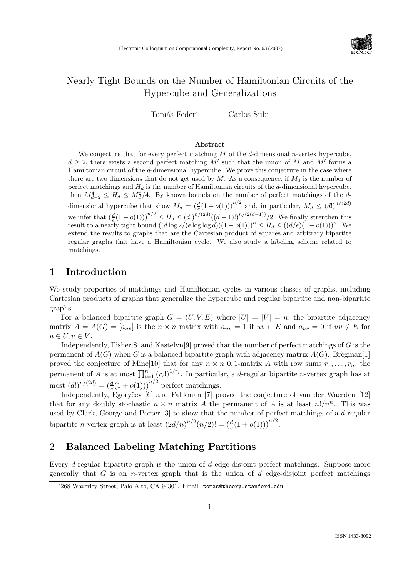

# Nearly Tight Bounds on the Number of Hamiltonian Circuits of the Hypercube and Generalizations

Tomás Feder<sup>∗</sup> Carlos Subi

#### Abstract

We conjecture that for every perfect matching  $M$  of the  $d$ -dimensional n-vertex hypercube,  $d \geq 2$ , there exists a second perfect matching M' such that the union of M and M' forms a Hamiltonian circuit of the d-dimensional hypercube. We prove this conjecture in the case where there are two dimensions that do not get used by M. As a consequence, if  $M_d$  is the number of perfect matchings and  $H_d$  is the number of Hamiltonian circuits of the  $d$ -dimensional hypercube, then  $M_{d-2}^4 \leq M_d^2/4$ . By known bounds on the number of perfect matchings of the ddimensional hypercube that show  $M_d = \left(\frac{d}{e}(1+o(1))\right)^{n/2}$  and, in particular,  $M_d \leq (d!)^{n/(2d)}$ we infer that  $\left(\frac{d}{e}(1-o(1))\right)^{n/2} \leq H_d \leq (d!)^{n/(2d)}((d-1)!)^{n/(2(d-1))}/2$ . We finally strenthen this result to a nearly tight bound  $((d \log 2/(e \log \log d))(1 - o(1)))^n \leq H_d \leq ((d/e)(1 + o(1)))^n$ . We extend the results to graphs that are the Cartesian product of squares and arbitrary bipartite regular graphs that have a Hamiltonian cycle. We also study a labeling scheme related to matchings.

### 1 Introduction

We study properties of matchings and Hamiltonian cycles in various classes of graphs, including Cartesian products of graphs that generalize the hypercube and regular bipartite and non-bipartite graphs.

For a balanced bipartite graph  $G = (U, V, E)$  where  $|U| = |V| = n$ , the bipartite adjacency matrix  $A = A(G) = [a_{uv}]$  is the  $n \times n$  matrix with  $a_{uv} = 1$  if  $uv \in E$  and  $a_{uv} = 0$  if  $uv \notin E$  for  $u \in U, v \in V.$ 

Independently, Fisher  $[8]$  and Kastelyn $[9]$  proved that the number of perfect matchings of G is the permanent of  $A(G)$  when G is a balanced bipartite graph with adjacency matrix  $A(G)$ . Brègman[1] proved the conjecture of Minc[10] that for any  $n \times n$  0, 1-matrix A with row sums  $r_1, \ldots, r_n$ , the permanent of A is at most  $\prod_{i=1}^{n} (r_i!)^{1/r_i}$ . In particular, a d-regular bipartite n-vertex graph has at most  $(d!)^{n/(2d)} = \left(\frac{d}{e}(1+o(1))\right)^{n/2}$  perfect matchings.

Independently, Egoryčev [6] and Falikman [7] proved the conjecture of van der Waerden [12] that for any doubly stochastic  $n \times n$  matrix A the permanent of A is at least  $n!/n^n$ . This was used by Clark, George and Porter [3] to show that the number of perfect matchings of a d-regular bipartite *n*-vertex graph is at least  $(2d/n)^{n/2}(n/2)! = \left(\frac{d}{e}(1+o(1))\right)^{n/2}$ .

## 2 Balanced Labeling Matching Partitions

Every d-regular bipartite graph is the union of d edge-disjoint perfect matchings. Suppose more generally that G is an *n*-vertex graph that is the union of  $d$  edge-disjoint perfect matchings

<sup>∗</sup> 268 Waverley Street, Palo Alto, CA 94301. Email: tomas@theory.stanford.edu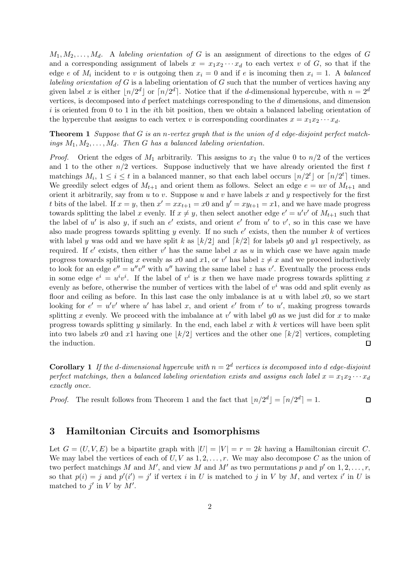$M_1, M_2, \ldots, M_d$ . A labeling orientation of G is an assignment of directions to the edges of G and a corresponding assignment of labels  $x = x_1x_2 \cdots x_d$  to each vertex v of G, so that if the edge e of  $M_i$  incident to v is outgoing then  $x_i = 0$  and if e is incoming then  $x_i = 1$ . A balanced labeling orientation of  $G$  is a labeling orientation of  $G$  such that the number of vertices having any given label x is either  $\lfloor n/2^d \rfloor$  or  $\lceil n/2^d \rceil$ . Notice that if the d-dimensional hypercube, with  $n = 2^d$ vertices, is decomposed into d perfect matchings corresponding to the d dimensions, and dimension  $i$  is oriented from 0 to 1 in the *i*th bit position, then we obtain a balanced labeling orientation of the hypercube that assigns to each vertex v is corresponding coordinates  $x = x_1x_2 \cdots x_d$ .

**Theorem 1** Suppose that  $G$  is an n-vertex graph that is the union of d edge-disjoint perfect matchings  $M_1, M_2, \ldots, M_d$ . Then G has a balanced labeling orientation.

*Proof.* Orient the edges of  $M_1$  arbitrarily. This assigns to  $x_1$  the value 0 to  $n/2$  of the vertices and 1 to the other  $n/2$  vertices. Suppose inductively that we have already oriented the first t matchings  $M_i$ ,  $1 \le i \le t$  in a balanced manner, so that each label occurs  $\lfloor n/2^t \rfloor$  or  $\lceil n/2^t \rceil$  times. We greedily select edges of  $M_{t+1}$  and orient them as follows. Select an edge  $e = uv$  of  $M_{t+1}$  and orient it arbitrarily, say from  $u$  to  $v$ . Suppose  $u$  and  $v$  have labels  $x$  and  $y$  respectively for the first t bits of the label. If  $x = y$ , then  $x' = xx_{t+1} = x0$  and  $y' = xy_{t+1} = x1$ , and we have made progress towards splitting the label x evenly. If  $x \neq y$ , then select another edge  $e' = u'v'$  of  $M_{t+1}$  such that the label of u' is also y, if such an e' exists, and orient e' from u' to v', so in this case we have also made progress towards splitting y evenly. If no such  $e'$  exists, then the number k of vertices with label y was odd and we have split k as  $k/2$  and  $\lceil k/2 \rceil$  for labels y0 and y1 respectively, as required. If e' exists, then either v' has the same label x as u in which case we have again made progress towards splitting x evenly as x0 and x1, or v' has label  $z \neq x$  and we proceed inductively to look for an edge  $e'' = u''v''$  with u'' having the same label z has v'. Eventually the process ends in some edge  $e^i = u^i v^i$ . If the label of  $v^i$  is x then we have made progress towards splitting x evenly as before, otherwise the number of vertices with the label of  $v^i$  was odd and split evenly as floor and ceiling as before. In this last case the only imbalance is at u with label  $x_0$ , so we start looking for  $e' = u'v'$  where u' has label x, and orient e' from v' to u', making progress towards splitting x evenly. We proceed with the imbalance at  $v'$  with label  $y0$  as we just did for x to make progress towards splitting y similarly. In the end, each label x with  $k$  vertices will have been split into two labels x0 and x1 having one  $\lfloor k/2 \rfloor$  vertices and the other one  $\lfloor k/2 \rfloor$  vertices, completing the induction. the induction.

**Corollary 1** If the d-dimensional hypercube with  $n = 2<sup>d</sup>$  vertices is decomposed into d edge-disjoint perfect matchings, then a balanced labeling orientation exists and assigns each label  $x = x_1x_2 \cdots x_d$ exactly once.

*Proof.* The result follows from Theorem 1 and the fact that  $\lfloor n/2^d \rfloor = \lceil n/2^d \rceil = 1$ .  $\Box$ 

#### 3 Hamiltonian Circuits and Isomorphisms

Let  $G = (U, V, E)$  be a bipartite graph with  $|U| = |V| = r = 2k$  having a Hamiltonian circuit C. We may label the vertices of each of  $U, V$  as  $1, 2, \ldots, r$ . We may also decompose C as the union of two perfect matchings M and M', and view M and M' as two permutations p and p' on  $1, 2, \ldots, r$ , so that  $p(i) = j$  and  $p'(i') = j'$  if vertex i in U is matched to j in V by M, and vertex i' in U is matched to  $j'$  in V by  $M'$ .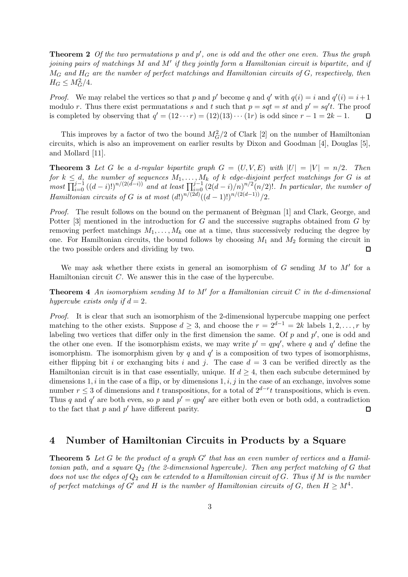**Theorem 2** Of the two permutations  $p$  and  $p'$ , one is odd and the other one even. Thus the graph joining pairs of matchings M and M' if they jointly form a Hamiltonian circuit is bipartite, and if  $M_G$  and  $H_G$  are the number of perfect matchings and Hamiltonian circuits of  $G$ , respectively, then  $H_G \leq M_G^2/4.$ 

*Proof.* We may relabel the vertices so that p and p' become q and q' with  $q(i) = i$  and  $q'(i) = i+1$ modulo r. Thus there exist permuatations s and t such that  $p = sqt = st$  and  $p' = sq't$ . The proof is completed by observing that  $q' = (12 \cdots r) = (12)(13) \cdots (1r)$  is odd since  $r - 1 = 2k - 1$ .  $\Box$ 

This improves by a factor of two the bound  $M_G^2/2$  of Clark [2] on the number of Hamiltonian circuits, which is also an improvement on earlier results by Dixon and Goodman [4], Douglas [5], and Mollard [11].

**Theorem 3** Let G be a d-regular bipartite graph  $G = (U, V, E)$  with  $|U| = |V| = n/2$ . Then for  $k \leq d$ , the number of sequences  $M_1, \ldots, M_k$  of k edge-disjoint perfect matchings for G is at  $\prod_{i=0}^{j-1}((d-i)!)^{n/(2(d-i))}$  and at least  $\prod_{i=0}^{j-1}(2(d-i)/n)^{n/2}(n/2)!$ . In particular, the number of Hamiltonian circuits of G is at most  $(d!)^{n/(2d)}((d-1)!)^{n/(2(d-1))}/2$ .

Proof. The result follows on the bound on the permanent of Brègman [1] and Clark, George, and Potter [3] mentioned in the introduction for  $G$  and the successive sugraphs obtained from  $G$  by removing perfect matchings  $M_1, \ldots, M_k$  one at a time, thus successively reducing the degree by one. For Hamiltonian circuits, the bound follows by choosing  $M_1$  and  $M_2$  forming the circuit in the two possible orders and dividing by two.  $\Box$ 

We may ask whether there exists in general an isomorphism of  $G$  sending  $M$  to  $M'$  for a Hamiltonian circuit  $C$ . We answer this in the case of the hypercube.

**Theorem 4** An isomorphism sending M to M' for a Hamiltonian circuit C in the d-dimensional hypercube exists only if  $d = 2$ .

Proof. It is clear that such an isomorphism of the 2-dimensional hypercube mapping one perfect matching to the other exists. Suppose  $d \geq 3$ , and choose the  $r = 2^{d-1} = 2k$  labels  $1, 2, ..., r$  by labeling two vertices that differ only in the first dimension the same. Of p and  $p'$ , one is odd and the other one even. If the isomorphism exists, we may write  $p' = qpq'$ , where q and q' define the isomorphism. The isomorphism given by q and  $q'$  is a composition of two types of isomorphisms, either flipping bit i or exchanging bits i and j. The case  $d = 3$  can be verified directly as the Hamiltonian circuit is in that case essentially, unique. If  $d \geq 4$ , then each subcube determined by dimensions 1, i in the case of a flip, or by dimensions  $1, i, j$  in the case of an exchange, involves some number  $r \leq 3$  of dimensions and t transpositions, for a total of  $2^{d-r}t$  transpositions, which is even. Thus q and q' are both even, so p and  $p' = qpq'$  are either both even or both odd, a contradiction to the fact that  $p$  and  $p'$  have different parity.  $\Box$ 

#### 4 Number of Hamiltonian Circuits in Products by a Square

**Theorem 5** Let G be the product of a graph  $G'$  that has an even number of vertices and a Hamiltonian path, and a square  $Q_2$  (the 2-dimensional hypercube). Then any perfect matching of G that does not use the edges of  $Q_2$  can be extended to a Hamiltonian circuit of G. Thus if M is the number of perfect matchings of  $G'$  and H is the number of Hamiltonian circuits of G, then  $H \geq M^4$ .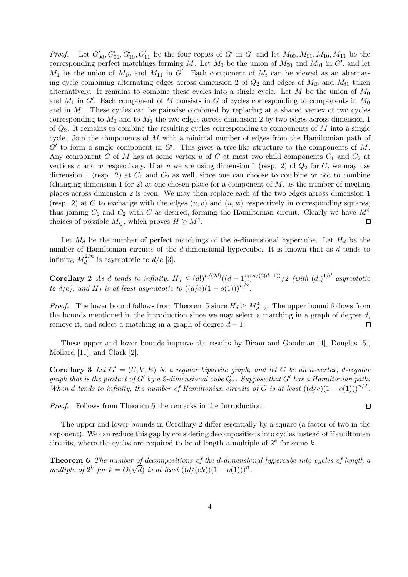*Proof.* Let  $G'_{00}, G'_{01}, G'_{10}, G'_{11}$  be the four copies of G' in G, and let  $M_{00}, M_{01}, M_{10}, M_{11}$  be the corresponding perfect matchings forming M. Let  $M_0$  be the union of  $M_{00}$  and  $M_{01}$  in  $G'$ , and let  $M_1$  be the union of  $M_{10}$  and  $M_{11}$  in G'. Each component of  $M_i$  can be viewed as an alternating cycle combining alternating edges across dimension 2 of  $Q_2$  and edges of  $M_{i0}$  and  $M_{i1}$  taken alternatively. It remains to combine these cycles into a single cycle. Let  $M$  be the union of  $M_0$ and  $M_1$  in  $G'$ . Each component of M consists in G of cycles corresponding to components in  $M_0$ and in  $M_1$ . These cycles can be pairwise combined by replacing at a shared vertex of two cycles corresponding to  $M_0$  and to  $M_1$  the two edges across dimension 2 by two edges across dimension 1 of  $Q_2$ . It remains to combine the resulting cycles corresponding to components of M into a single cycle. Join the components of M with a minimal number of edges from the Hamiltonian path of  $G'$  to form a single component in  $G'$ . This gives a tree-like structure to the components of M. Any component C of M has at some vertex u of C at most two child components  $C_1$  and  $C_2$  at vertices v and w respectively. If at u we are using dimension 1 (resp. 2) of  $Q_2$  for C, we may use dimension 1 (resp. 2) at  $C_1$  and  $C_2$  as well, since one can choose to combine or not to combine (changing dimension 1 for 2) at one chosen place for a component of  $M$ , as the number of meeting places across dimension 2 is even. We may then replace each of the two edges across dimension 1 (resp. 2) at C to exchange with the edges  $(u, v)$  and  $(u, w)$  respectively in corresponding squares, thus joining  $C_1$  and  $C_2$  with C as desired, forming the Hamiltonian circuit. Clearly we have  $M^4$ choices of possible  $M_{ij}$ , which proves  $H \ge M^4$ .  $\Box$ 

Let  $M_d$  be the number of perfect matchings of the d-dimensional hypercube. Let  $H_d$  be the number of Hamiltonian circuits of the d-dimensional hypercube. It is known that as d tends to infinity,  $M_d^{2/n}$  $\frac{d}{d}$  is asymptotic to  $d/e$  [3].

Corollary 2 As d tends to infinity,  $H_d \leq (d!)^{n/(2d)}((d-1)!)^{n/(2(d-1))}/2$  (with  $(d!)^{1/d}$  asymptotic to  $d/e$ ), and  $H_d$  is at least asymptotic to  $((d/e)(1 - o(1)))^{n/2}$ .

*Proof.* The lower bound follows from Theorem 5 since  $H_d \geq M_{d-2}^4$ . The upper bound follows from the bounds mentioned in the introduction since we may select a matching in a graph of degree  $d$ , remove it, and select a matching in a graph of degree  $d-1$ .  $\Box$ 

These upper and lower bounds improve the results by Dixon and Goodman [4], Douglas [5], Mollard [11], and Clark [2].

**Corollary 3** Let  $G' = (U, V, E)$  be a regular bipartite graph, and let G be an n-vertex, d-regular graph that is the product of G' by a 2-dimensional cube  $Q_2$ . Suppose that G' has a Hamiltonian path. When d tends to infinity, the number of Hamiltonian circuits of G is at least  $((d/e)(1 - o(1)))^{n/2}$ .

Proof. Follows from Theorem 5 the remarks in the Introduction.

The upper and lower bounds in Corollary 2 differ essentially by a square (a factor of two in the exponent). We can reduce this gap by considering decompositions into cycles instead of Hamiltonian circuits, where the cycles are required to be of length a multiple of  $2^k$  for some k.

Theorem 6 The number of decompositions of the d-dimensional hypercube into cycles of length a multiple of  $2^k$  for  $k = O(\sqrt{d})$  is at least  $((d/(ek))(1-o(1)))^n$ .

 $\Box$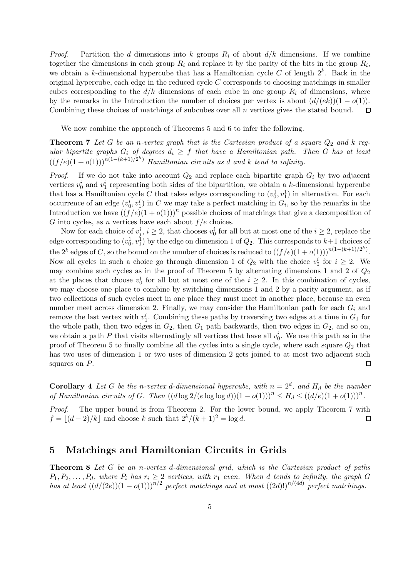*Proof.* Partition the d dimensions into k groups  $R_i$  of about  $d/k$  dimensions. If we combine together the dimensions in each group  $R_i$  and replace it by the parity of the bits in the group  $R_i$ , we obtain a k-dimensional hypercube that has a Hamiltonian cycle C of length  $2^k$ . Back in the original hypercube, each edge in the reduced cycle  $C$  corresponds to choosing matchings in smaller cubes corresponding to the  $d/k$  dimensions of each cube in one group  $R_i$  of dimensions, where by the remarks in the Introduction the number of choices per vertex is about  $(d/(ek))(1 - o(1))$ .<br>Combining these choices of matchings of subcubes over all *n* vertices gives the stated bound.  $\square$ Combining these choices of matchings of subcubes over all n vertices gives the stated bound.

We now combine the approach of Theorems 5 and 6 to infer the following.

**Theorem 7** Let G be an n-vertex graph that is the Cartesian product of a square  $Q_2$  and k regular bipartite graphs  $G_i$  of degrees  $d_i \geq f$  that have a Hamiltonian path. Then  $G$  has at least  $((f/e)(1+o(1)))^{n(1-(k+1)/2^k)}$  Hamiltonian circuits as d and k tend to infinity.

*Proof.* If we do not take into account  $Q_2$  and replace each bipartite graph  $G_i$  by two adjacent vertices  $v_0^i$  and  $v_1^i$  representing both sides of the bipartition, we obtain a k-dimensional hypercube that has a Hamiltonian cycle C that takes edges corresponding to  $(v_0^1, v_1^1)$  in alternation. For each occurrence of an edge  $(v_0^i, v_1^i)$  in C we may take a perfect matching in  $G_i$ , so by the remarks in the Introduction we have  $((f/e)(1+o(1)))^n$  possible choices of matchings that give a decomposition of G into cycles, as n vertices have each about  $f/e$  choices.

Now for each choice of  $v_j^i$ ,  $i \geq 2$ , that chooses  $v_0^i$  for all but at most one of the  $i \geq 2$ , replace the edge corresponding to  $(v_0^1, v_1^1)$  by the edge on dimension 1 of  $Q_2$ . This corresponds to  $k+1$  choices of the 2<sup>k</sup> edges of C, so the bound on the number of choices is reduced to  $((f/e)(1+o(1)))^{n(1-(k+1)/2^k)}$ . Now all cycles in such a choice go through dimension 1 of  $Q_2$  with the choice  $v_0^i$  for  $i \geq 2$ . may combine such cycles as in the proof of Theorem 5 by alternating dimensions 1 and 2 of  $Q_2$ at the places that choose  $v_0^i$  for all but at most one of the  $i \geq 2$ . In this combination of cycles, we may choose one place to combine by switching dimensions 1 and 2 by a parity argument, as if two collections of such cycles meet in one place they must meet in another place, because an even number meet across dimension 2. Finally, we may consider the Hamiltonian path for each  $G_i$  and remove the last vertex with  $v_1^i$ . Combining these paths by traversing two edges at a time in  $G_1$  for the whole path, then two edges in  $G_2$ , then  $G_1$  path backwards, then two edges in  $G_2$ , and so on, we obtain a path  $P$  that visits alternatingly all vertices that have all  $v_0^i$ . We use this path as in the proof of Theorem 5 to finally combine all the cycles into a single cycle, where each square  $Q_2$  that has two uses of dimension 1 or two uses of dimension 2 gets joined to at most two adjacent such squares on  $P$ .  $\Box$ 

**Corollary 4** Let G be the n-vertex d-dimensional hypercube, with  $n = 2^d$ , and  $H_d$  be the number of Hamiltonian circuits of G. Then  $((d \log 2/(e \log \log d))(1 - o(1)))^n \leq H_d \leq ((d/e)(1 + o(1)))^n$ .

Proof. The upper bound is from Theorem 2. For the lower bound, we apply Theorem 7 with  $f = (d - 2)/k$  and choose k such that  $2^{k}/(k+1)^{2} = \log d$ .  $\Box$ 

#### 5 Matchings and Hamiltonian Circuits in Grids

Theorem 8 Let G be an n-vertex d-dimensional grid, which is the Cartesian product of paths  $P_1, P_2, \ldots, P_d$ , where  $P_i$  has  $r_i \geq 2$  vertices, with  $r_1$  even. When d tends to infinity, the graph G has at least  $((d/(2e))(1 - o(1)))^{n/2}$  perfect matchings and at most  $((2d)!)^{n/(4d)}$  perfect matchings.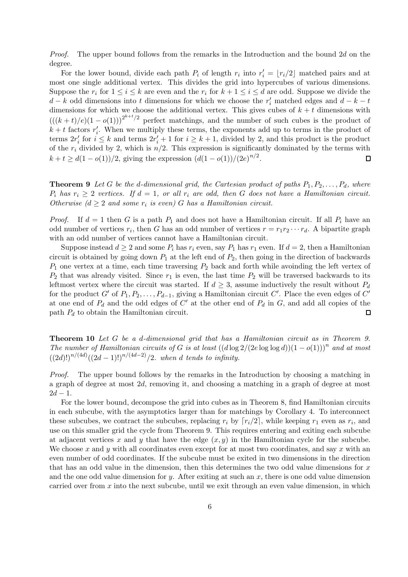Proof. The upper bound follows from the remarks in the Introduction and the bound 2d on the degree.

For the lower bound, divide each path  $P_i$  of length  $r_i$  into  $r'_i = \lfloor r_i/2 \rfloor$  matched pairs and at most one single additional vertex. This divides the grid into hypercubes of various dimensions. Suppose the  $r_i$  for  $1 \leq i \leq k$  are even and the  $r_i$  for  $k + 1 \leq i \leq d$  are odd. Suppose we divide the  $d - k$  odd dimensions into t dimensions for which we choose the  $r'_i$  matched edges and  $d - k - t$ dimensions for which we choose the additional vertex. This gives cubes of  $k + t$  dimensions with  $(((k+t)/e)(1-o(1)))^{2^{k+t}/2}$  perfect matchings, and the number of such cubes is the product of  $k + t$  factors  $r'_i$  $i<sub>i</sub>$ . When we multiply these terms, the exponents add up to terms in the product of terms  $2r_i'$ for  $i \leq k$  and terms  $2r'_i + 1$  for  $i \geq k + 1$ , divided by 2, and this product is the product of the  $r_i$  divided by 2, which is  $n/2$ . This expression is significantly dominated by the terms with  $k + t \geq d(1 - o(1))/2$ , giving the expression  $(d(1 - o(1))/(2e)^{n/2})$ .  $\Box$ 

**Theorem 9** Let G be the d-dimensional grid, the Cartesian product of paths  $P_1, P_2, \ldots, P_d$ , where  $P_i$  has  $r_i \geq 2$  vertices. If  $d = 1$ , or all  $r_i$  are odd, then G does not have a Hamiltonian circuit. Otherwise ( $d \geq 2$  and some  $r_i$  is even) G has a Hamiltonian circuit.

*Proof.* If  $d = 1$  then G is a path  $P_1$  and does not have a Hamiltonian circuit. If all  $P_i$  have an odd number of vertices  $r_i$ , then G has an odd number of vertices  $r = r_1 r_2 \cdots r_d$ . A bipartite graph with an odd number of vertices cannot have a Hamiltonian circuit.

Suppose instead  $d \geq 2$  and some  $P_i$  has  $r_i$  even, say  $P_1$  has  $r_1$  even. If  $d = 2$ , then a Hamiltonian circuit is obtained by going down  $P_1$  at the left end of  $P_2$ , then going in the direction of backwards  $P_1$  one vertex at a time, each time traversing  $P_2$  back and forth while avoinding the left vertex of  $P_2$  that was already visited. Since  $r_1$  is even, the last time  $P_2$  will be traversed backwards to its leftmost vertex where the circuit was started. If  $d \geq 3$ , assume inductively the result without  $P_d$ for the product G' of  $P_1, P_2, \ldots, P_{d-1}$ , giving a Hamiltonian circuit C'. Place the even edges of  $C'$ at one end of  $P_d$  and the odd edges of C' at the other end of  $P_d$  in G, and add all copies of the path  $P_d$  to obtain the Hamiltonian circuit. П

Theorem 10 Let G be a d-dimensional grid that has a Hamiltonian circuit as in Theorem 9. The number of Hamiltonian circuits of G is at least  $((d \log 2/(2e \log \log d))(1-o(1)))^n$  and at most  $((2d)!)^{n/(4d)}((2d-1)!)^{n/(4d-2)}/2$ . when d tends to infinity.

Proof. The upper bound follows by the remarks in the Introduction by choosing a matching in a graph of degree at most 2d, removing it, and choosing a matching in a graph of degree at most  $2d - 1$ .

For the lower bound, decompose the grid into cubes as in Theorem 8, find Hamiltonian circuits in each subcube, with the asymptotics larger than for matchings by Corollary 4. To interconnect these subcubes, we contract the subcubes, replacing  $r_i$  by  $\lceil r_i/2 \rceil$ , while keeping  $r_1$  even as  $r_i$ , and use on this smaller grid the cycle from Theorem 9. This requires entering and exiting each subcube at adjacent vertices x and y that have the edge  $(x, y)$  in the Hamiltonian cycle for the subcube. We choose x and y with all coordinates even except for at most two coordinates, and say  $x$  with an even number of odd coordinates. If the subcube must be exited in two dimensions in the direction that has an odd value in the dimension, then this determines the two odd value dimensions for  $x$ and the one odd value dimension for y. After exiting at such an x, there is one odd value dimension carried over from  $x$  into the next subcube, until we exit through an even value dimension, in which